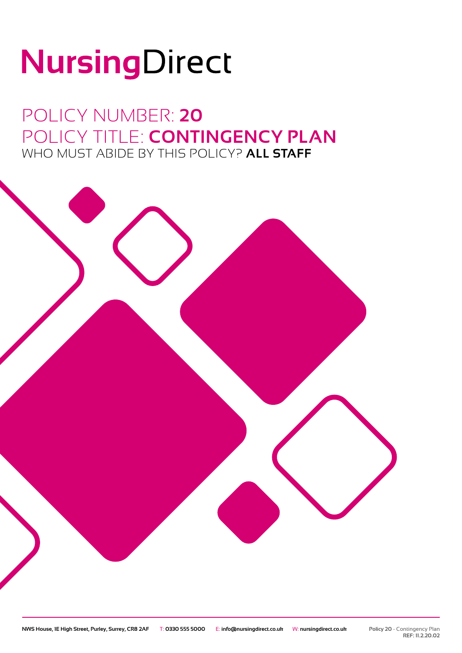# NursingDirect

POLICY NUMBER: **20** POLICY TITLE: **CONTINGENCY PLAN** WHO MUST ABIDE BY THIS POLICY? **ALL STAFF**